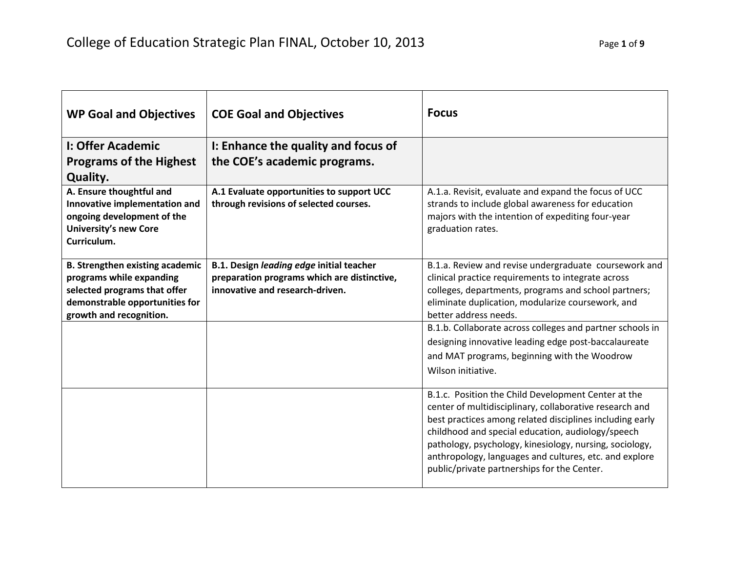| <b>WP Goal and Objectives</b>                                                                                                                                   | <b>COE Goal and Objectives</b>                                                                                             | <b>Focus</b>                                                                                                                                                                                                                                                                                                                                                                                                                                 |
|-----------------------------------------------------------------------------------------------------------------------------------------------------------------|----------------------------------------------------------------------------------------------------------------------------|----------------------------------------------------------------------------------------------------------------------------------------------------------------------------------------------------------------------------------------------------------------------------------------------------------------------------------------------------------------------------------------------------------------------------------------------|
| I: Offer Academic                                                                                                                                               | I: Enhance the quality and focus of                                                                                        |                                                                                                                                                                                                                                                                                                                                                                                                                                              |
| <b>Programs of the Highest</b>                                                                                                                                  | the COE's academic programs.                                                                                               |                                                                                                                                                                                                                                                                                                                                                                                                                                              |
| <b>Quality.</b>                                                                                                                                                 |                                                                                                                            |                                                                                                                                                                                                                                                                                                                                                                                                                                              |
| A. Ensure thoughtful and<br>Innovative implementation and<br>ongoing development of the<br><b>University's new Core</b><br>Curriculum.                          | A.1 Evaluate opportunities to support UCC<br>through revisions of selected courses.                                        | A.1.a. Revisit, evaluate and expand the focus of UCC<br>strands to include global awareness for education<br>majors with the intention of expediting four-year<br>graduation rates.                                                                                                                                                                                                                                                          |
| <b>B. Strengthen existing academic</b><br>programs while expanding<br>selected programs that offer<br>demonstrable opportunities for<br>growth and recognition. | B.1. Design leading edge initial teacher<br>preparation programs which are distinctive,<br>innovative and research-driven. | B.1.a. Review and revise undergraduate coursework and<br>clinical practice requirements to integrate across<br>colleges, departments, programs and school partners;<br>eliminate duplication, modularize coursework, and<br>better address needs.<br>B.1.b. Collaborate across colleges and partner schools in<br>designing innovative leading edge post-baccalaureate<br>and MAT programs, beginning with the Woodrow<br>Wilson initiative. |
|                                                                                                                                                                 |                                                                                                                            | B.1.c. Position the Child Development Center at the<br>center of multidisciplinary, collaborative research and<br>best practices among related disciplines including early<br>childhood and special education, audiology/speech<br>pathology, psychology, kinesiology, nursing, sociology,<br>anthropology, languages and cultures, etc. and explore<br>public/private partnerships for the Center.                                          |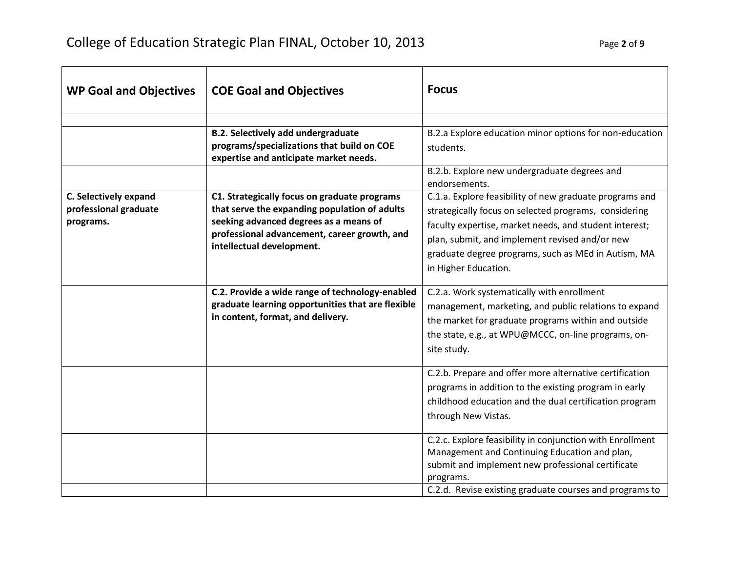| <b>WP Goal and Objectives</b> | <b>COE Goal and Objectives</b>                                                                       | <b>Focus</b>                                                                                        |
|-------------------------------|------------------------------------------------------------------------------------------------------|-----------------------------------------------------------------------------------------------------|
|                               |                                                                                                      |                                                                                                     |
|                               | <b>B.2. Selectively add undergraduate</b>                                                            | B.2.a Explore education minor options for non-education                                             |
|                               | programs/specializations that build on COE<br>expertise and anticipate market needs.                 | students.                                                                                           |
|                               |                                                                                                      | B.2.b. Explore new undergraduate degrees and                                                        |
|                               |                                                                                                      | endorsements.                                                                                       |
| C. Selectively expand         | C1. Strategically focus on graduate programs                                                         | C.1.a. Explore feasibility of new graduate programs and                                             |
| professional graduate         | that serve the expanding population of adults                                                        | strategically focus on selected programs, considering                                               |
| programs.                     | seeking advanced degrees as a means of                                                               | faculty expertise, market needs, and student interest;                                              |
|                               | professional advancement, career growth, and                                                         | plan, submit, and implement revised and/or new                                                      |
|                               | intellectual development.                                                                            | graduate degree programs, such as MEd in Autism, MA                                                 |
|                               |                                                                                                      | in Higher Education.                                                                                |
|                               |                                                                                                      |                                                                                                     |
|                               | C.2. Provide a wide range of technology-enabled<br>graduate learning opportunities that are flexible | C.2.a. Work systematically with enrollment<br>management, marketing, and public relations to expand |
|                               | in content, format, and delivery.                                                                    | the market for graduate programs within and outside                                                 |
|                               |                                                                                                      | the state, e.g., at WPU@MCCC, on-line programs, on-                                                 |
|                               |                                                                                                      | site study.                                                                                         |
|                               |                                                                                                      |                                                                                                     |
|                               |                                                                                                      | C.2.b. Prepare and offer more alternative certification                                             |
|                               |                                                                                                      | programs in addition to the existing program in early                                               |
|                               |                                                                                                      | childhood education and the dual certification program                                              |
|                               |                                                                                                      | through New Vistas.                                                                                 |
|                               |                                                                                                      | C.2.c. Explore feasibility in conjunction with Enrollment                                           |
|                               |                                                                                                      | Management and Continuing Education and plan,                                                       |
|                               |                                                                                                      | submit and implement new professional certificate                                                   |
|                               |                                                                                                      | programs.                                                                                           |
|                               |                                                                                                      | C.2.d. Revise existing graduate courses and programs to                                             |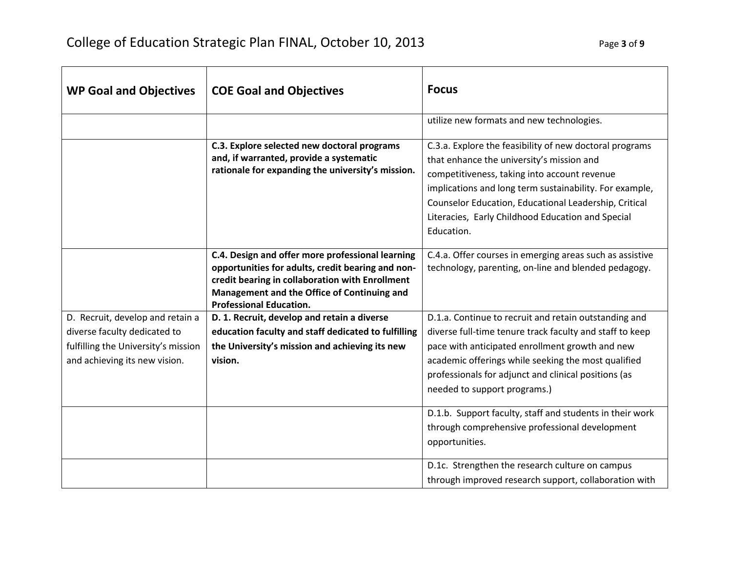| <b>WP Goal and Objectives</b>                                                                                                            | <b>COE Goal and Objectives</b>                                                                                                                                                                                                            | <b>Focus</b>                                                                                                                                                                                                                                                                                                                                |
|------------------------------------------------------------------------------------------------------------------------------------------|-------------------------------------------------------------------------------------------------------------------------------------------------------------------------------------------------------------------------------------------|---------------------------------------------------------------------------------------------------------------------------------------------------------------------------------------------------------------------------------------------------------------------------------------------------------------------------------------------|
|                                                                                                                                          |                                                                                                                                                                                                                                           | utilize new formats and new technologies.                                                                                                                                                                                                                                                                                                   |
|                                                                                                                                          | C.3. Explore selected new doctoral programs<br>and, if warranted, provide a systematic<br>rationale for expanding the university's mission.                                                                                               | C.3.a. Explore the feasibility of new doctoral programs<br>that enhance the university's mission and<br>competitiveness, taking into account revenue<br>implications and long term sustainability. For example,<br>Counselor Education, Educational Leadership, Critical<br>Literacies, Early Childhood Education and Special<br>Education. |
|                                                                                                                                          | C.4. Design and offer more professional learning<br>opportunities for adults, credit bearing and non-<br>credit bearing in collaboration with Enrollment<br>Management and the Office of Continuing and<br><b>Professional Education.</b> | C.4.a. Offer courses in emerging areas such as assistive<br>technology, parenting, on-line and blended pedagogy.                                                                                                                                                                                                                            |
| D. Recruit, develop and retain a<br>diverse faculty dedicated to<br>fulfilling the University's mission<br>and achieving its new vision. | D. 1. Recruit, develop and retain a diverse<br>education faculty and staff dedicated to fulfilling<br>the University's mission and achieving its new<br>vision.                                                                           | D.1.a. Continue to recruit and retain outstanding and<br>diverse full-time tenure track faculty and staff to keep<br>pace with anticipated enrollment growth and new<br>academic offerings while seeking the most qualified<br>professionals for adjunct and clinical positions (as<br>needed to support programs.)                         |
|                                                                                                                                          |                                                                                                                                                                                                                                           | D.1.b. Support faculty, staff and students in their work<br>through comprehensive professional development<br>opportunities.                                                                                                                                                                                                                |
|                                                                                                                                          |                                                                                                                                                                                                                                           | D.1c. Strengthen the research culture on campus<br>through improved research support, collaboration with                                                                                                                                                                                                                                    |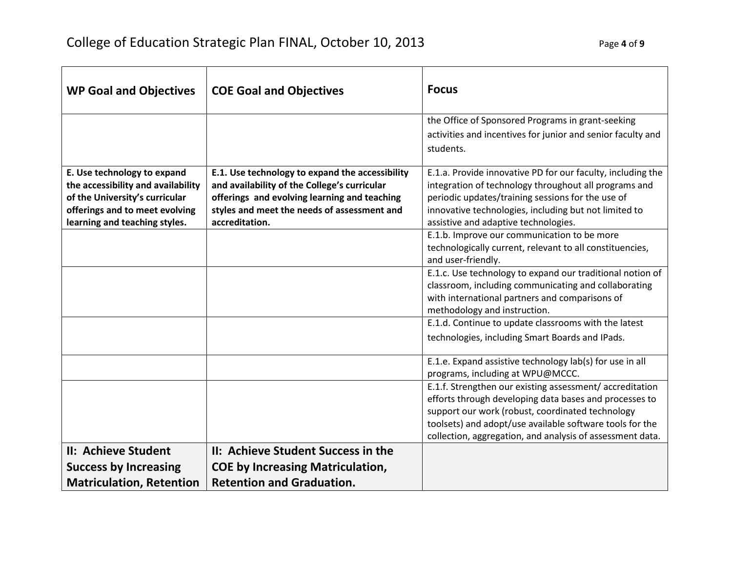| <b>WP Goal and Objectives</b>                                                                                                                                          | <b>COE Goal and Objectives</b>                                                                                                                                                                                   | <b>Focus</b>                                                                                                                                                                                                                                                                                   |
|------------------------------------------------------------------------------------------------------------------------------------------------------------------------|------------------------------------------------------------------------------------------------------------------------------------------------------------------------------------------------------------------|------------------------------------------------------------------------------------------------------------------------------------------------------------------------------------------------------------------------------------------------------------------------------------------------|
|                                                                                                                                                                        |                                                                                                                                                                                                                  | the Office of Sponsored Programs in grant-seeking<br>activities and incentives for junior and senior faculty and<br>students.                                                                                                                                                                  |
| E. Use technology to expand<br>the accessibility and availability<br>of the University's curricular<br>offerings and to meet evolving<br>learning and teaching styles. | E.1. Use technology to expand the accessibility<br>and availability of the College's curricular<br>offerings and evolving learning and teaching<br>styles and meet the needs of assessment and<br>accreditation. | E.1.a. Provide innovative PD for our faculty, including the<br>integration of technology throughout all programs and<br>periodic updates/training sessions for the use of<br>innovative technologies, including but not limited to<br>assistive and adaptive technologies.                     |
|                                                                                                                                                                        |                                                                                                                                                                                                                  | E.1.b. Improve our communication to be more<br>technologically current, relevant to all constituencies,<br>and user-friendly.                                                                                                                                                                  |
|                                                                                                                                                                        |                                                                                                                                                                                                                  | E.1.c. Use technology to expand our traditional notion of<br>classroom, including communicating and collaborating<br>with international partners and comparisons of<br>methodology and instruction.                                                                                            |
|                                                                                                                                                                        |                                                                                                                                                                                                                  | E.1.d. Continue to update classrooms with the latest<br>technologies, including Smart Boards and IPads.                                                                                                                                                                                        |
|                                                                                                                                                                        |                                                                                                                                                                                                                  | E.1.e. Expand assistive technology lab(s) for use in all<br>programs, including at WPU@MCCC.                                                                                                                                                                                                   |
|                                                                                                                                                                        |                                                                                                                                                                                                                  | E.1.f. Strengthen our existing assessment/accreditation<br>efforts through developing data bases and processes to<br>support our work (robust, coordinated technology<br>toolsets) and adopt/use available software tools for the<br>collection, aggregation, and analysis of assessment data. |
| II: Achieve Student<br><b>Success by Increasing</b><br><b>Matriculation, Retention</b>                                                                                 | II: Achieve Student Success in the<br><b>COE by Increasing Matriculation,</b><br><b>Retention and Graduation.</b>                                                                                                |                                                                                                                                                                                                                                                                                                |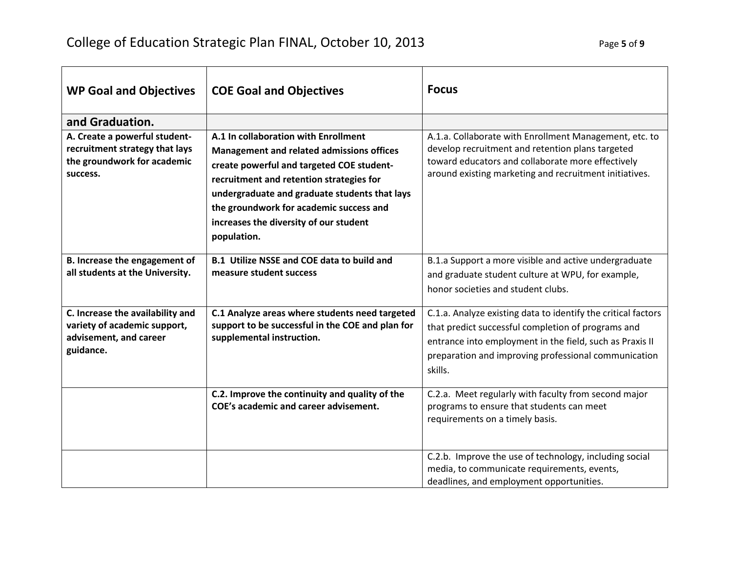| <b>WP Goal and Objectives</b>                                                                              | <b>COE Goal and Objectives</b>                                                                                                                                                                                                                                                                                                         | <b>Focus</b>                                                                                                                                                                                                                                       |
|------------------------------------------------------------------------------------------------------------|----------------------------------------------------------------------------------------------------------------------------------------------------------------------------------------------------------------------------------------------------------------------------------------------------------------------------------------|----------------------------------------------------------------------------------------------------------------------------------------------------------------------------------------------------------------------------------------------------|
| and Graduation.                                                                                            |                                                                                                                                                                                                                                                                                                                                        |                                                                                                                                                                                                                                                    |
| A. Create a powerful student-<br>recruitment strategy that lays<br>the groundwork for academic<br>success. | A.1 In collaboration with Enrollment<br><b>Management and related admissions offices</b><br>create powerful and targeted COE student-<br>recruitment and retention strategies for<br>undergraduate and graduate students that lays<br>the groundwork for academic success and<br>increases the diversity of our student<br>population. | A.1.a. Collaborate with Enrollment Management, etc. to<br>develop recruitment and retention plans targeted<br>toward educators and collaborate more effectively<br>around existing marketing and recruitment initiatives.                          |
| B. Increase the engagement of<br>all students at the University.                                           | <b>B.1 Utilize NSSE and COE data to build and</b><br>measure student success                                                                                                                                                                                                                                                           | B.1.a Support a more visible and active undergraduate<br>and graduate student culture at WPU, for example,<br>honor societies and student clubs.                                                                                                   |
| C. Increase the availability and<br>variety of academic support,<br>advisement, and career<br>guidance.    | C.1 Analyze areas where students need targeted<br>support to be successful in the COE and plan for<br>supplemental instruction.                                                                                                                                                                                                        | C.1.a. Analyze existing data to identify the critical factors<br>that predict successful completion of programs and<br>entrance into employment in the field, such as Praxis II<br>preparation and improving professional communication<br>skills. |
|                                                                                                            | C.2. Improve the continuity and quality of the<br>COE's academic and career advisement.                                                                                                                                                                                                                                                | C.2.a. Meet regularly with faculty from second major<br>programs to ensure that students can meet<br>requirements on a timely basis.                                                                                                               |
|                                                                                                            |                                                                                                                                                                                                                                                                                                                                        | C.2.b. Improve the use of technology, including social<br>media, to communicate requirements, events,<br>deadlines, and employment opportunities.                                                                                                  |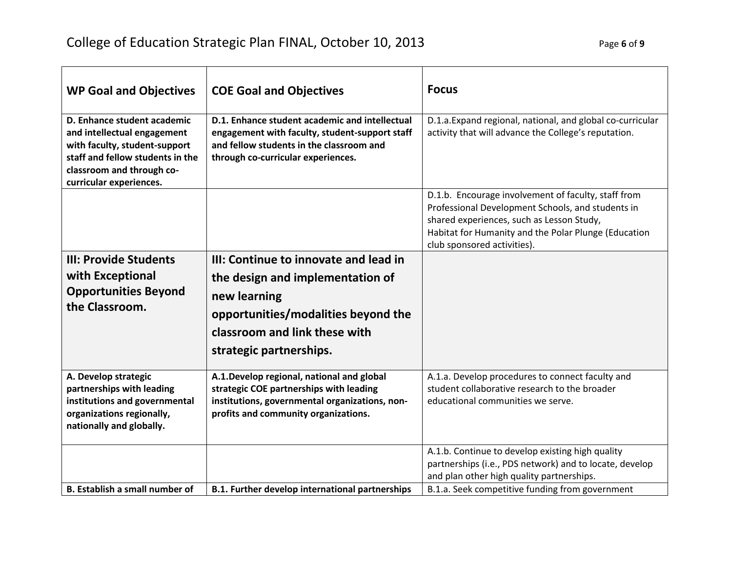| <b>WP Goal and Objectives</b>                                                                                                                                                           | <b>COE Goal and Objectives</b>                                                                                                                                                     | <b>Focus</b>                                                                                                                                                                                                                                 |
|-----------------------------------------------------------------------------------------------------------------------------------------------------------------------------------------|------------------------------------------------------------------------------------------------------------------------------------------------------------------------------------|----------------------------------------------------------------------------------------------------------------------------------------------------------------------------------------------------------------------------------------------|
| D. Enhance student academic<br>and intellectual engagement<br>with faculty, student-support<br>staff and fellow students in the<br>classroom and through co-<br>curricular experiences. | D.1. Enhance student academic and intellectual<br>engagement with faculty, student-support staff<br>and fellow students in the classroom and<br>through co-curricular experiences. | D.1.a. Expand regional, national, and global co-curricular<br>activity that will advance the College's reputation.                                                                                                                           |
|                                                                                                                                                                                         |                                                                                                                                                                                    | D.1.b. Encourage involvement of faculty, staff from<br>Professional Development Schools, and students in<br>shared experiences, such as Lesson Study,<br>Habitat for Humanity and the Polar Plunge (Education<br>club sponsored activities). |
| <b>III: Provide Students</b>                                                                                                                                                            | III: Continue to innovate and lead in                                                                                                                                              |                                                                                                                                                                                                                                              |
| with Exceptional                                                                                                                                                                        | the design and implementation of                                                                                                                                                   |                                                                                                                                                                                                                                              |
| <b>Opportunities Beyond</b>                                                                                                                                                             | new learning                                                                                                                                                                       |                                                                                                                                                                                                                                              |
| the Classroom.                                                                                                                                                                          | opportunities/modalities beyond the                                                                                                                                                |                                                                                                                                                                                                                                              |
|                                                                                                                                                                                         | classroom and link these with                                                                                                                                                      |                                                                                                                                                                                                                                              |
|                                                                                                                                                                                         | strategic partnerships.                                                                                                                                                            |                                                                                                                                                                                                                                              |
| A. Develop strategic<br>partnerships with leading<br>institutions and governmental<br>organizations regionally,<br>nationally and globally.                                             | A.1. Develop regional, national and global<br>strategic COE partnerships with leading<br>institutions, governmental organizations, non-<br>profits and community organizations.    | A.1.a. Develop procedures to connect faculty and<br>student collaborative research to the broader<br>educational communities we serve.                                                                                                       |
|                                                                                                                                                                                         |                                                                                                                                                                                    | A.1.b. Continue to develop existing high quality<br>partnerships (i.e., PDS network) and to locate, develop<br>and plan other high quality partnerships.                                                                                     |
| <b>B.</b> Establish a small number of                                                                                                                                                   | <b>B.1. Further develop international partnerships</b>                                                                                                                             | B.1.a. Seek competitive funding from government                                                                                                                                                                                              |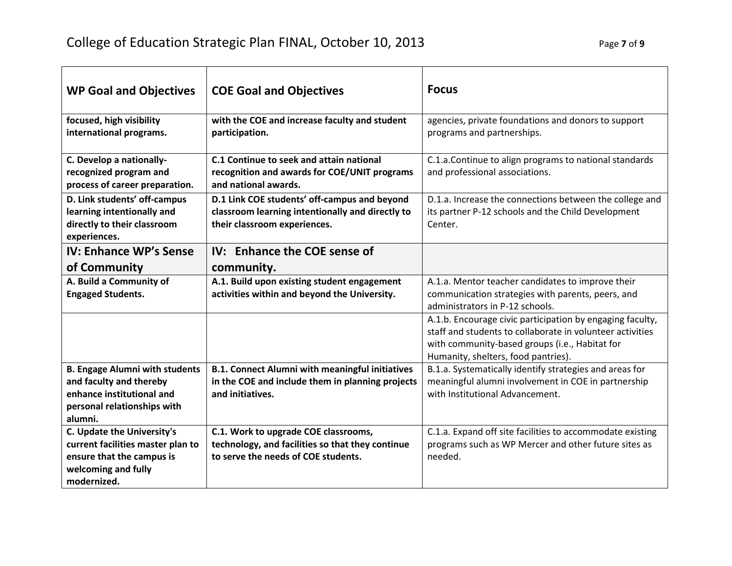| <b>WP Goal and Objectives</b>                                                                                                           | <b>COE Goal and Objectives</b>                                                                                                   | <b>Focus</b>                                                                                                                                                                                                    |
|-----------------------------------------------------------------------------------------------------------------------------------------|----------------------------------------------------------------------------------------------------------------------------------|-----------------------------------------------------------------------------------------------------------------------------------------------------------------------------------------------------------------|
| focused, high visibility<br>international programs.                                                                                     | with the COE and increase faculty and student<br>participation.                                                                  | agencies, private foundations and donors to support<br>programs and partnerships.                                                                                                                               |
| C. Develop a nationally-<br>recognized program and<br>process of career preparation.                                                    | C.1 Continue to seek and attain national<br>recognition and awards for COE/UNIT programs<br>and national awards.                 | C.1.a.Continue to align programs to national standards<br>and professional associations.                                                                                                                        |
| D. Link students' off-campus<br>learning intentionally and<br>directly to their classroom<br>experiences.                               | D.1 Link COE students' off-campus and beyond<br>classroom learning intentionally and directly to<br>their classroom experiences. | D.1.a. Increase the connections between the college and<br>its partner P-12 schools and the Child Development<br>Center.                                                                                        |
| <b>IV: Enhance WP's Sense</b><br>of Community                                                                                           | IV: Enhance the COE sense of<br>community.                                                                                       |                                                                                                                                                                                                                 |
| A. Build a Community of<br><b>Engaged Students.</b>                                                                                     | A.1. Build upon existing student engagement<br>activities within and beyond the University.                                      | A.1.a. Mentor teacher candidates to improve their<br>communication strategies with parents, peers, and<br>administrators in P-12 schools.                                                                       |
|                                                                                                                                         |                                                                                                                                  | A.1.b. Encourage civic participation by engaging faculty,<br>staff and students to collaborate in volunteer activities<br>with community-based groups (i.e., Habitat for<br>Humanity, shelters, food pantries). |
| <b>B. Engage Alumni with students</b><br>and faculty and thereby<br>enhance institutional and<br>personal relationships with<br>alumni. | <b>B.1. Connect Alumni with meaningful initiatives</b><br>in the COE and include them in planning projects<br>and initiatives.   | B.1.a. Systematically identify strategies and areas for<br>meaningful alumni involvement in COE in partnership<br>with Institutional Advancement.                                                               |
| C. Update the University's<br>current facilities master plan to<br>ensure that the campus is<br>welcoming and fully<br>modernized.      | C.1. Work to upgrade COE classrooms,<br>technology, and facilities so that they continue<br>to serve the needs of COE students.  | C.1.a. Expand off site facilities to accommodate existing<br>programs such as WP Mercer and other future sites as<br>needed.                                                                                    |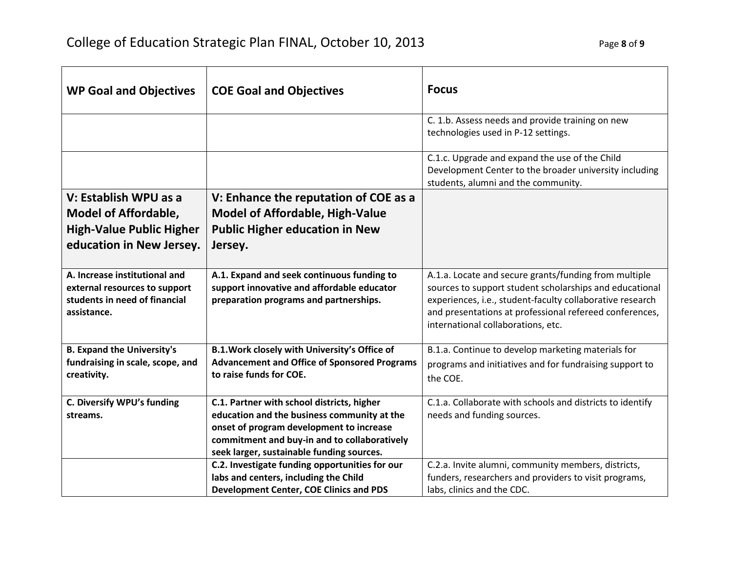| <b>WP Goal and Objectives</b>                                                                                       | <b>COE Goal and Objectives</b>                                                                                                                                                                                                     | <b>Focus</b>                                                                                                                                                                                                                                                                   |
|---------------------------------------------------------------------------------------------------------------------|------------------------------------------------------------------------------------------------------------------------------------------------------------------------------------------------------------------------------------|--------------------------------------------------------------------------------------------------------------------------------------------------------------------------------------------------------------------------------------------------------------------------------|
|                                                                                                                     |                                                                                                                                                                                                                                    | C. 1.b. Assess needs and provide training on new<br>technologies used in P-12 settings.                                                                                                                                                                                        |
|                                                                                                                     |                                                                                                                                                                                                                                    | C.1.c. Upgrade and expand the use of the Child<br>Development Center to the broader university including<br>students, alumni and the community.                                                                                                                                |
| V: Establish WPU as a<br><b>Model of Affordable,</b><br><b>High-Value Public Higher</b><br>education in New Jersey. | V: Enhance the reputation of COE as a<br><b>Model of Affordable, High-Value</b><br><b>Public Higher education in New</b><br>Jersey.                                                                                                |                                                                                                                                                                                                                                                                                |
| A. Increase institutional and<br>external resources to support<br>students in need of financial<br>assistance.      | A.1. Expand and seek continuous funding to<br>support innovative and affordable educator<br>preparation programs and partnerships.                                                                                                 | A.1.a. Locate and secure grants/funding from multiple<br>sources to support student scholarships and educational<br>experiences, i.e., student-faculty collaborative research<br>and presentations at professional refereed conferences,<br>international collaborations, etc. |
| <b>B. Expand the University's</b><br>fundraising in scale, scope, and<br>creativity.                                | B.1. Work closely with University's Office of<br><b>Advancement and Office of Sponsored Programs</b><br>to raise funds for COE.                                                                                                    | B.1.a. Continue to develop marketing materials for<br>programs and initiatives and for fundraising support to<br>the COE.                                                                                                                                                      |
| C. Diversify WPU's funding<br>streams.                                                                              | C.1. Partner with school districts, higher<br>education and the business community at the<br>onset of program development to increase<br>commitment and buy-in and to collaboratively<br>seek larger, sustainable funding sources. | C.1.a. Collaborate with schools and districts to identify<br>needs and funding sources.                                                                                                                                                                                        |
|                                                                                                                     | C.2. Investigate funding opportunities for our<br>labs and centers, including the Child<br><b>Development Center, COE Clinics and PDS</b>                                                                                          | C.2.a. Invite alumni, community members, districts,<br>funders, researchers and providers to visit programs,<br>labs, clinics and the CDC.                                                                                                                                     |